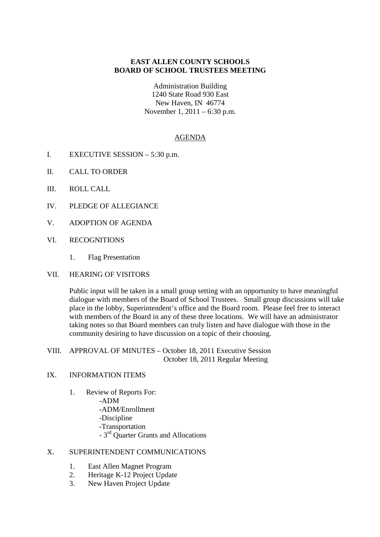# **EAST ALLEN COUNTY SCHOOLS BOARD OF SCHOOL TRUSTEES MEETING**

Administration Building 1240 State Road 930 East New Haven, IN 46774 November 1, 2011 – 6:30 p.m.

#### AGENDA

- I. EXECUTIVE SESSION 5:30 p.m.
- II. CALL TO ORDER
- III. ROLL CALL
- IV. PLEDGE OF ALLEGIANCE
- V. ADOPTION OF AGENDA
- VI. RECOGNITIONS
	- 1. Flag Presentation
- VII. HEARING OF VISITORS

Public input will be taken in a small group setting with an opportunity to have meaningful dialogue with members of the Board of School Trustees. Small group discussions will take place in the lobby, Superintendent's office and the Board room. Please feel free to interact with members of the Board in any of these three locations. We will have an administrator taking notes so that Board members can truly listen and have dialogue with those in the community desiring to have discussion on a topic of their choosing.

VIII. APPROVAL OF MINUTES – October 18, 2011 Executive Session October 18, 2011 Regular Meeting

## IX. INFORMATION ITEMS

1. Review of Reports For: -ADM -ADM/Enrollment -Discipline -Transportation - 3rd Quarter Grants and Allocations

### X. SUPERINTENDENT COMMUNICATIONS

- 1. East Allen Magnet Program
- 2. Heritage K-12 Project Update
- 3. New Haven Project Update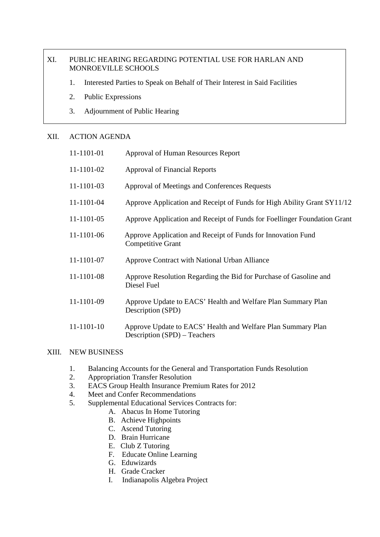# XI. PUBLIC HEARING REGARDING POTENTIAL USE FOR HARLAN AND MONROEVILLE SCHOOLS

- 1. Interested Parties to Speak on Behalf of Their Interest in Said Facilities
- 2. Public Expressions
- 3. Adjournment of Public Hearing

## XII. ACTION AGENDA

| 11-1101-01 | Approval of Human Resources Report                                                           |
|------------|----------------------------------------------------------------------------------------------|
| 11-1101-02 | <b>Approval of Financial Reports</b>                                                         |
| 11-1101-03 | Approval of Meetings and Conferences Requests                                                |
| 11-1101-04 | Approve Application and Receipt of Funds for High Ability Grant SY11/12                      |
| 11-1101-05 | Approve Application and Receipt of Funds for Foellinger Foundation Grant                     |
| 11-1101-06 | Approve Application and Receipt of Funds for Innovation Fund<br><b>Competitive Grant</b>     |
| 11-1101-07 | Approve Contract with National Urban Alliance                                                |
| 11-1101-08 | Approve Resolution Regarding the Bid for Purchase of Gasoline and<br>Diesel Fuel             |
| 11-1101-09 | Approve Update to EACS' Health and Welfare Plan Summary Plan<br>Description (SPD)            |
| 11-1101-10 | Approve Update to EACS' Health and Welfare Plan Summary Plan<br>Description (SPD) – Teachers |

### XIII. NEW BUSINESS

- 1. Balancing Accounts for the General and Transportation Funds Resolution
- 2. Appropriation Transfer Resolution
- 3. EACS Group Health Insurance Premium Rates for 2012
- 4. Meet and Confer Recommendations
- 5. Supplemental Educational Services Contracts for:
	- A. Abacus In Home Tutoring
	- B. Achieve Highpoints
	- C. Ascend Tutoring
	- D. Brain Hurricane
	- E. Club Z Tutoring
	- F. Educate Online Learning
	- G. Eduwizards
	- H. Grade Cracker
	- I. Indianapolis Algebra Project